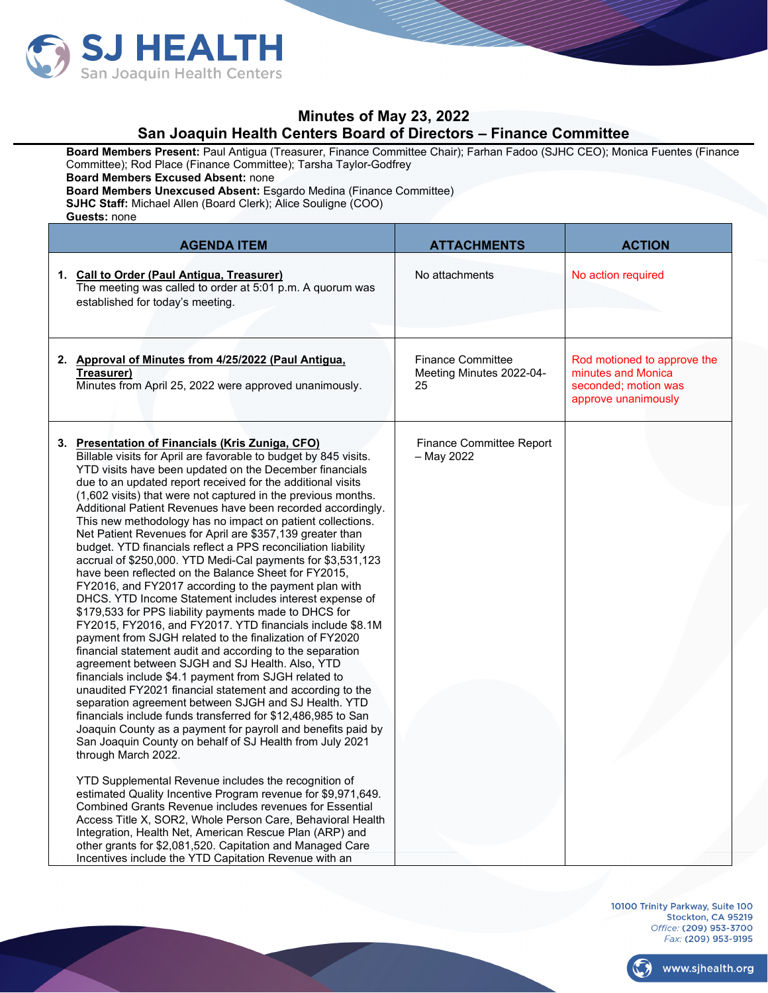

## **Minutes of May 23, 2022 San Joaquin Health Centers Board of Directors – Finance Committee**

**Board Members Present:** Paul Antigua (Treasurer, Finance Committee Chair); Farhan Fadoo (SJHC CEO); Monica Fuentes (Finance Committee); Rod Place (Finance Committee); Tarsha Taylor-Godfrey

**Board Members Excused Absent:** none

**Board Members Unexcused Absent:** Esgardo Medina (Finance Committee)

**SJHC Staff:** Michael Allen (Board Clerk); Alice Souligne (COO)

**Guests:** none

| <b>AGENDA ITEM</b>                                                                                                                                                                                                                                                                                                                                                                                                                                                                                                                                                                                                                                                                                                                                                                                                                                                                                                                                                                                                                                                                                                                                                                                                                                                                                                                                                                                                                                                                                                                                                                                                                                                                                                                                                                                                                                                                                                                                        | <b>ATTACHMENTS</b>                                         | <b>ACTION</b>                                                                                    |
|-----------------------------------------------------------------------------------------------------------------------------------------------------------------------------------------------------------------------------------------------------------------------------------------------------------------------------------------------------------------------------------------------------------------------------------------------------------------------------------------------------------------------------------------------------------------------------------------------------------------------------------------------------------------------------------------------------------------------------------------------------------------------------------------------------------------------------------------------------------------------------------------------------------------------------------------------------------------------------------------------------------------------------------------------------------------------------------------------------------------------------------------------------------------------------------------------------------------------------------------------------------------------------------------------------------------------------------------------------------------------------------------------------------------------------------------------------------------------------------------------------------------------------------------------------------------------------------------------------------------------------------------------------------------------------------------------------------------------------------------------------------------------------------------------------------------------------------------------------------------------------------------------------------------------------------------------------------|------------------------------------------------------------|--------------------------------------------------------------------------------------------------|
| 1. Call to Order (Paul Antigua, Treasurer)<br>The meeting was called to order at 5:01 p.m. A quorum was<br>established for today's meeting.                                                                                                                                                                                                                                                                                                                                                                                                                                                                                                                                                                                                                                                                                                                                                                                                                                                                                                                                                                                                                                                                                                                                                                                                                                                                                                                                                                                                                                                                                                                                                                                                                                                                                                                                                                                                               | No attachments                                             | No action required                                                                               |
| 2. Approval of Minutes from 4/25/2022 (Paul Antigua,<br>Treasurer)<br>Minutes from April 25, 2022 were approved unanimously.                                                                                                                                                                                                                                                                                                                                                                                                                                                                                                                                                                                                                                                                                                                                                                                                                                                                                                                                                                                                                                                                                                                                                                                                                                                                                                                                                                                                                                                                                                                                                                                                                                                                                                                                                                                                                              | <b>Finance Committee</b><br>Meeting Minutes 2022-04-<br>25 | Rod motioned to approve the<br>minutes and Monica<br>seconded: motion was<br>approve unanimously |
| 3. Presentation of Financials (Kris Zuniga, CFO)<br>Billable visits for April are favorable to budget by 845 visits.<br>YTD visits have been updated on the December financials<br>due to an updated report received for the additional visits<br>(1,602 visits) that were not captured in the previous months.<br>Additional Patient Revenues have been recorded accordingly.<br>This new methodology has no impact on patient collections.<br>Net Patient Revenues for April are \$357,139 greater than<br>budget. YTD financials reflect a PPS reconciliation liability<br>accrual of \$250,000. YTD Medi-Cal payments for \$3,531,123<br>have been reflected on the Balance Sheet for FY2015,<br>FY2016, and FY2017 according to the payment plan with<br>DHCS. YTD Income Statement includes interest expense of<br>\$179,533 for PPS liability payments made to DHCS for<br>FY2015, FY2016, and FY2017. YTD financials include \$8.1M<br>payment from SJGH related to the finalization of FY2020<br>financial statement audit and according to the separation<br>agreement between SJGH and SJ Health. Also, YTD<br>financials include \$4.1 payment from SJGH related to<br>unaudited FY2021 financial statement and according to the<br>separation agreement between SJGH and SJ Health. YTD<br>financials include funds transferred for \$12,486,985 to San<br>Joaquin County as a payment for payroll and benefits paid by<br>San Joaquin County on behalf of SJ Health from July 2021<br>through March 2022.<br>YTD Supplemental Revenue includes the recognition of<br>estimated Quality Incentive Program revenue for \$9,971,649.<br>Combined Grants Revenue includes revenues for Essential<br>Access Title X, SOR2, Whole Person Care, Behavioral Health<br>Integration, Health Net, American Rescue Plan (ARP) and<br>other grants for \$2,081,520. Capitation and Managed Care<br>Incentives include the YTD Capitation Revenue with an | Finance Committee Report<br>- May 2022                     |                                                                                                  |

10100 Trinity Parkway, Suite 100 Stockton, CA 95219 Office: (209) 953-3700 Fax: (209) 953-9195

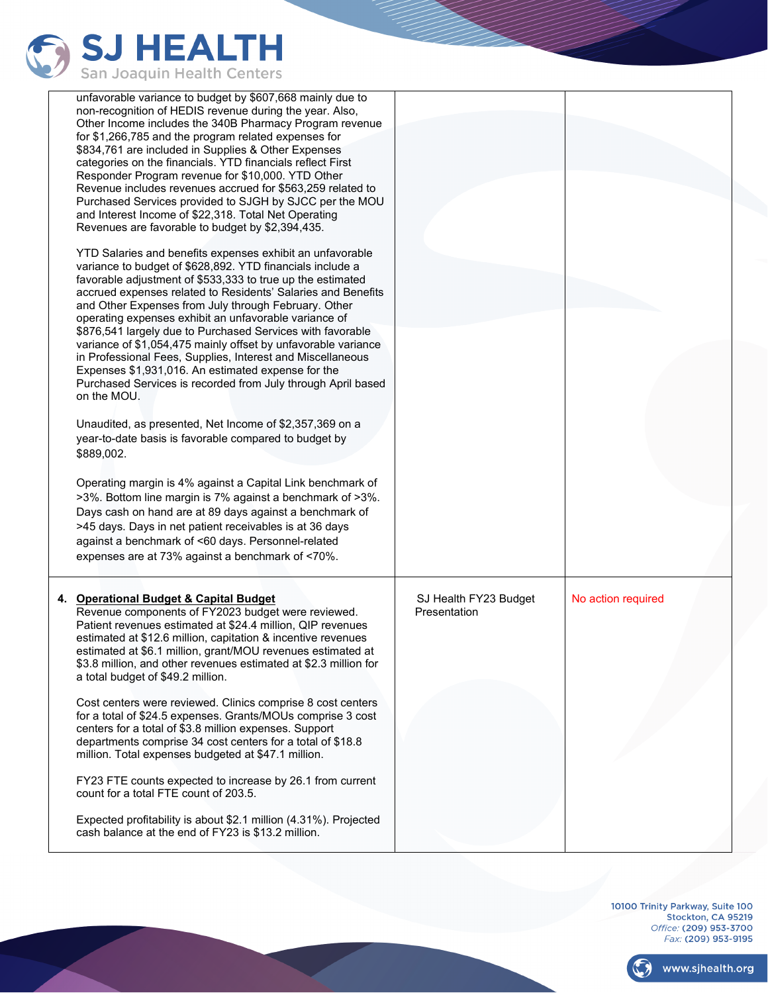

| unfavorable variance to budget by \$607,668 mainly due to<br>non-recognition of HEDIS revenue during the year. Also,<br>Other Income includes the 340B Pharmacy Program revenue<br>for \$1,266,785 and the program related expenses for<br>\$834,761 are included in Supplies & Other Expenses<br>categories on the financials. YTD financials reflect First<br>Responder Program revenue for \$10,000. YTD Other<br>Revenue includes revenues accrued for \$563,259 related to<br>Purchased Services provided to SJGH by SJCC per the MOU<br>and Interest Income of \$22,318. Total Net Operating<br>Revenues are favorable to budget by \$2,394,435.<br>YTD Salaries and benefits expenses exhibit an unfavorable<br>variance to budget of \$628,892. YTD financials include a<br>favorable adjustment of \$533,333 to true up the estimated<br>accrued expenses related to Residents' Salaries and Benefits<br>and Other Expenses from July through February. Other<br>operating expenses exhibit an unfavorable variance of<br>\$876,541 largely due to Purchased Services with favorable<br>variance of \$1,054,475 mainly offset by unfavorable variance<br>in Professional Fees, Supplies, Interest and Miscellaneous<br>Expenses \$1,931,016. An estimated expense for the<br>Purchased Services is recorded from July through April based<br>on the MOU.<br>Unaudited, as presented, Net Income of \$2,357,369 on a<br>year-to-date basis is favorable compared to budget by<br>\$889,002.<br>Operating margin is 4% against a Capital Link benchmark of<br>>3%. Bottom line margin is 7% against a benchmark of >3%.<br>Days cash on hand are at 89 days against a benchmark of<br>>45 days. Days in net patient receivables is at 36 days<br>against a benchmark of <60 days. Personnel-related<br>expenses are at 73% against a benchmark of <70%. |                                       |                    |
|----------------------------------------------------------------------------------------------------------------------------------------------------------------------------------------------------------------------------------------------------------------------------------------------------------------------------------------------------------------------------------------------------------------------------------------------------------------------------------------------------------------------------------------------------------------------------------------------------------------------------------------------------------------------------------------------------------------------------------------------------------------------------------------------------------------------------------------------------------------------------------------------------------------------------------------------------------------------------------------------------------------------------------------------------------------------------------------------------------------------------------------------------------------------------------------------------------------------------------------------------------------------------------------------------------------------------------------------------------------------------------------------------------------------------------------------------------------------------------------------------------------------------------------------------------------------------------------------------------------------------------------------------------------------------------------------------------------------------------------------------------------------------------------------------------------------------------------------------------------|---------------------------------------|--------------------|
| 4. Operational Budget & Capital Budget<br>Revenue components of FY2023 budget were reviewed.<br>Patient revenues estimated at \$24.4 million, QIP revenues<br>estimated at \$12.6 million, capitation & incentive revenues<br>estimated at \$6.1 million, grant/MOU revenues estimated at<br>\$3.8 million, and other revenues estimated at \$2.3 million for<br>a total budget of \$49.2 million.                                                                                                                                                                                                                                                                                                                                                                                                                                                                                                                                                                                                                                                                                                                                                                                                                                                                                                                                                                                                                                                                                                                                                                                                                                                                                                                                                                                                                                                             | SJ Health FY23 Budget<br>Presentation | No action required |
| Cost centers were reviewed. Clinics comprise 8 cost centers<br>for a total of \$24.5 expenses. Grants/MOUs comprise 3 cost<br>centers for a total of \$3.8 million expenses. Support<br>departments comprise 34 cost centers for a total of \$18.8<br>million. Total expenses budgeted at \$47.1 million.                                                                                                                                                                                                                                                                                                                                                                                                                                                                                                                                                                                                                                                                                                                                                                                                                                                                                                                                                                                                                                                                                                                                                                                                                                                                                                                                                                                                                                                                                                                                                      |                                       |                    |
| FY23 FTE counts expected to increase by 26.1 from current<br>count for a total FTE count of 203.5.<br>Expected profitability is about \$2.1 million (4.31%). Projected<br>cash balance at the end of FY23 is \$13.2 million.                                                                                                                                                                                                                                                                                                                                                                                                                                                                                                                                                                                                                                                                                                                                                                                                                                                                                                                                                                                                                                                                                                                                                                                                                                                                                                                                                                                                                                                                                                                                                                                                                                   |                                       |                    |

10100 Trinity Parkway, Suite 100<br>Stockton, CA 95219 Office: (209) 953-3700<br>Fax: (209) 953-9195



www.sjhealth.org